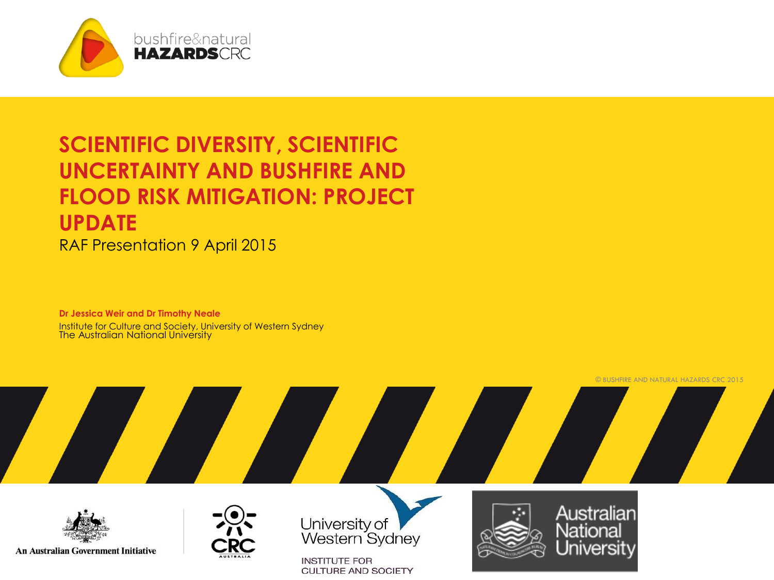

### **SCIENTIFIC DIVERSITY, SCIENTIFIC UNCERTAINTY AND BUSHFIRE AND FLOOD RISK MITIGATION: PROJECT UPDATE**

RAF Presentation 9 April 2015

**Dr Jessica Weir and Dr Timothy Neale**  Institute for Culture and Society, University of Western Sydney The Australian National University

**An Australian Government Initiative** 



University of<br>Western Sydney

**INSTITUTE FOR CULTURE AND SOCIETY** 



Australian National Universitv

© BUSHFIRE AND NATURAL HAZARDS CRC 2015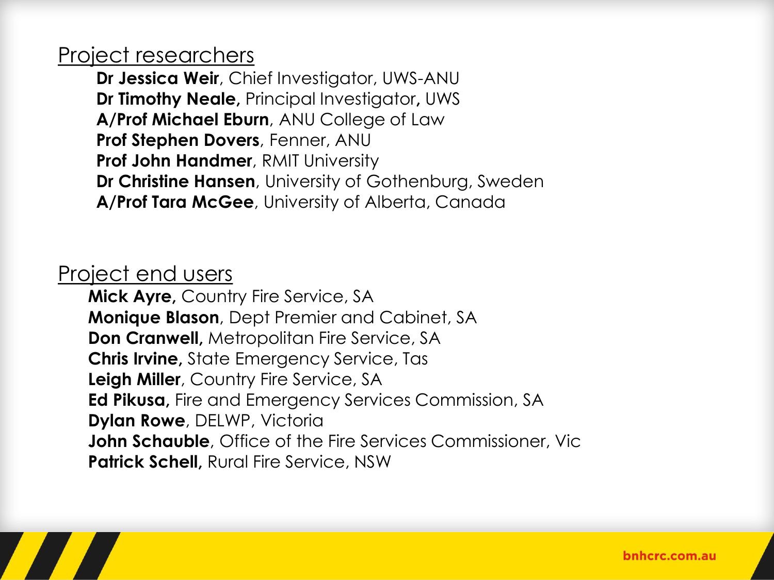#### Project researchers

**Dr Jessica Weir**, Chief Investigator, UWS-ANU **Dr Timothy Neale,** Principal Investigator**,** UWS **A/Prof Michael Eburn**, ANU College of Law **Prof Stephen Dovers**, Fenner, ANU **Prof John Handmer**, RMIT University **Dr Christine Hansen**, University of Gothenburg, Sweden **A/Prof Tara McGee**, University of Alberta, Canada

#### Project end users

**Mick Ayre,** Country Fire Service, SA **Monique Blason**, Dept Premier and Cabinet, SA **Don Cranwell,** Metropolitan Fire Service, SA **Chris Irvine,** State Emergency Service, Tas **Leigh Miller**, Country Fire Service, SA **Ed Pikusa,** Fire and Emergency Services Commission, SA **Dylan Rowe**, DELWP, Victoria **John Schauble**, Office of the Fire Services Commissioner, Vic **Patrick Schell,** Rural Fire Service, NSW

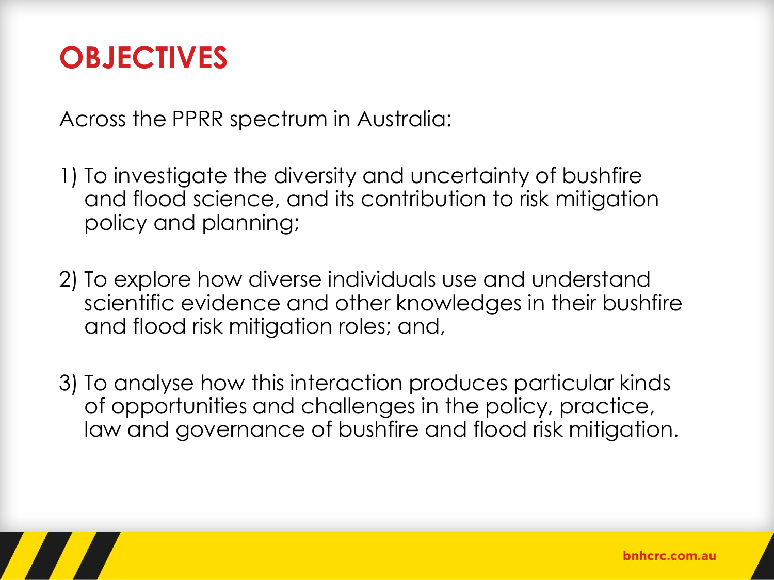## **OBJECTIVES**

Across the PPRR spectrum in Australia:

1) To investigate the diversity and uncertainty of bushfire and flood science, and its contribution to risk mitigation policy and planning;

- 2) To explore how diverse individuals use and understand scientific evidence and other knowledges in their bushfire and flood risk mitigation roles; and,
- 3) To analyse how this interaction produces particular kinds of opportunities and challenges in the policy, practice, law and governance of bushfire and flood risk mitigation.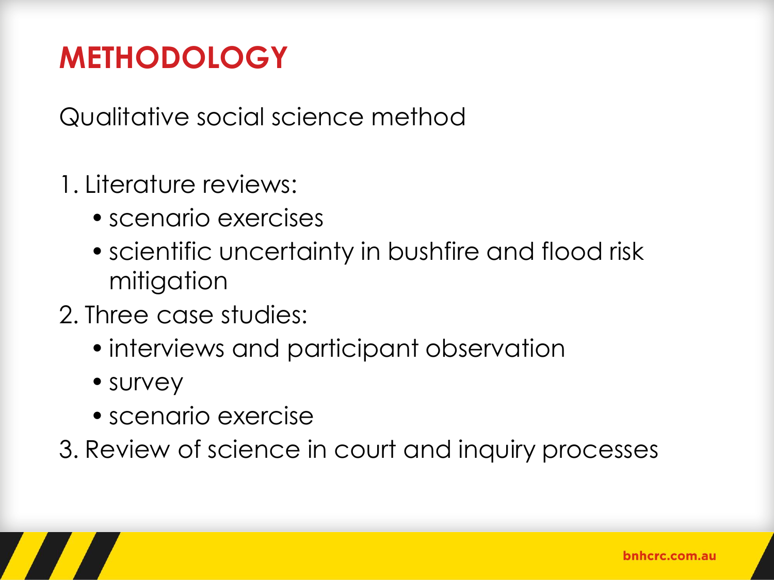# **METHODOLOGY**

Qualitative social science method

- 1. Literature reviews:
	- scenario exercises
	- scientific uncertainty in bushfire and flood risk mitigation
- 2. Three case studies:
	- interviews and participant observation
	- survey
	- scenario exercise

3. Review of science in court and inquiry processes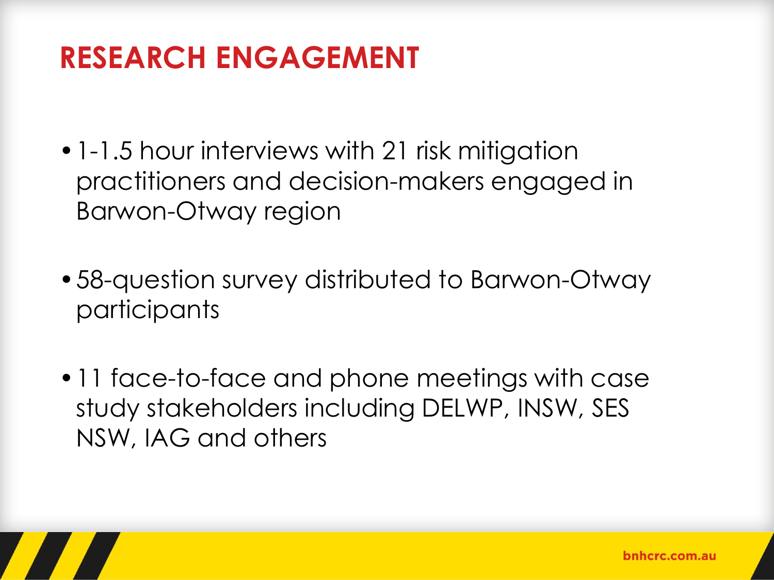### **RESEARCH ENGAGEMENT**

- •1-1.5 hour interviews with 21 risk mitigation practitioners and decision-makers engaged in Barwon-Otway region
- •58-question survey distributed to Barwon-Otway participants
- •11 face-to-face and phone meetings with case study stakeholders including DELWP, INSW, SES NSW, IAG and others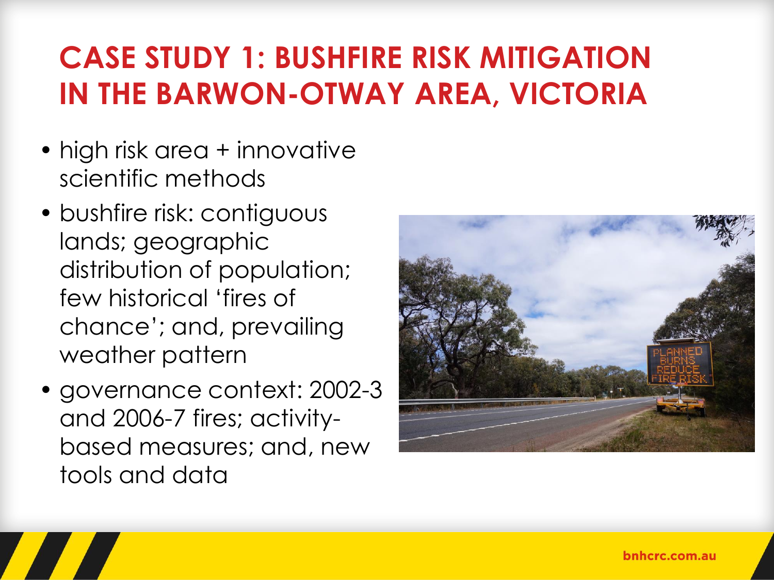# **CASE STUDY 1: BUSHFIRE RISK MITIGATION IN THE BARWON-OTWAY AREA, VICTORIA**

- high risk area + innovative scientific methods
- bushfire risk: contiguous lands; geographic distribution of population; few historical 'fires of chance'; and, prevailing weather pattern
- governance context: 2002-3 and 2006-7 fires; activitybased measures; and, new tools and data

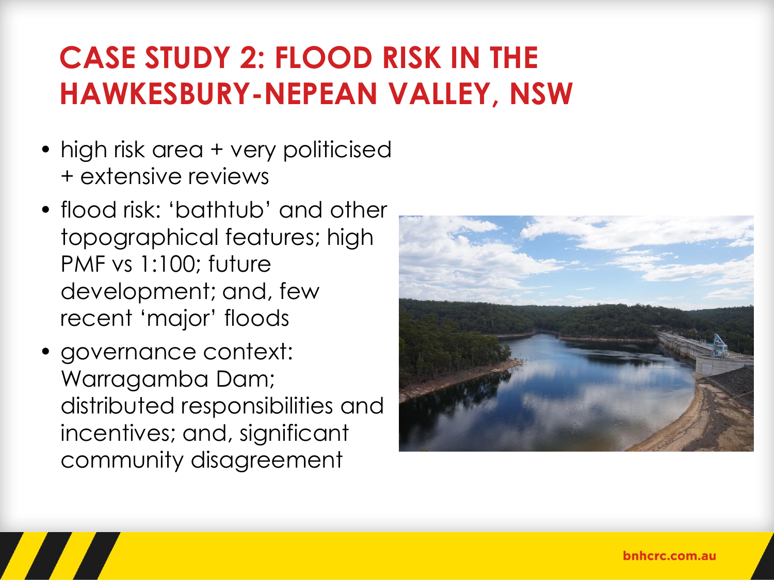## **CASE STUDY 2: FLOOD RISK IN THE HAWKESBURY-NEPEAN VALLEY, NSW**

- high risk area + very politicised + extensive reviews
- flood risk: 'bathtub' and other topographical features; high PMF vs 1:100; future development; and, few recent 'major' floods
- governance context: Warragamba Dam; distributed responsibilities and incentives; and, significant community disagreement

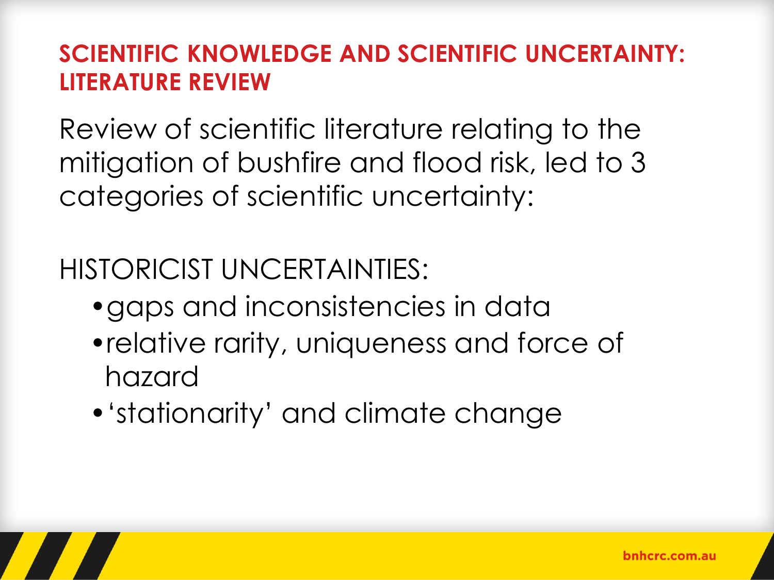### **SCIENTIFIC KNOWLEDGE AND SCIENTIFIC UNCERTAINTY: LITERATURE REVIEW**

Review of scientific literature relating to the mitigation of bushfire and flood risk, led to 3 categories of scientific uncertainty:

HISTORICIST UNCERTAINTIES:

- •gaps and inconsistencies in data
- •relative rarity, uniqueness and force of hazard
- •'stationarity' and climate change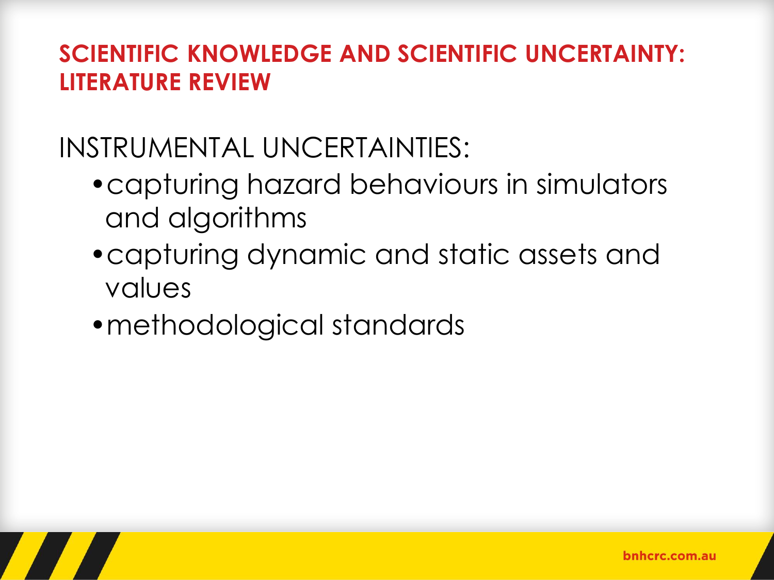### **SCIENTIFIC KNOWLEDGE AND SCIENTIFIC UNCERTAINTY: LITERATURE REVIEW**

### INSTRUMENTAL UNCERTAINTIES:

- •capturing hazard behaviours in simulators and algorithms
- •capturing dynamic and static assets and values
- •methodological standards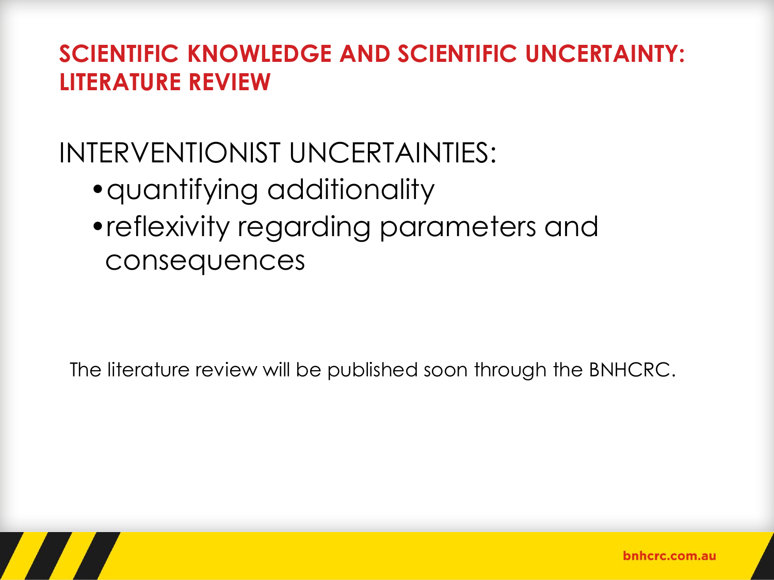#### **SCIENTIFIC KNOWLEDGE AND SCIENTIFIC UNCERTAINTY: LITERATURE REVIEW**

### INTERVENTIONIST UNCERTAINTIES:

- •quantifying additionality
- •reflexivity regarding parameters and consequences

The literature review will be published soon through the BNHCRC.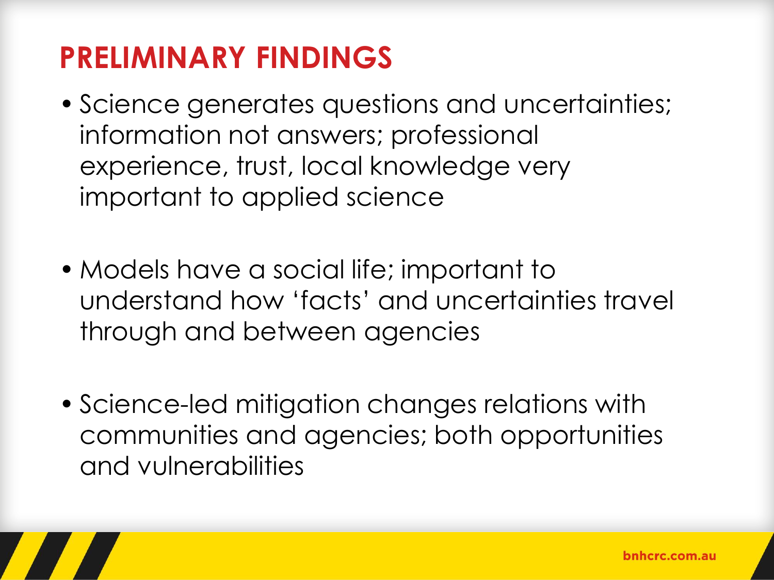# **PRELIMINARY FINDINGS**

- Science generates questions and uncertainties; information not answers; professional experience, trust, local knowledge very important to applied science
- Models have a social life; important to understand how 'facts' and uncertainties travel through and between agencies
- Science-led mitigation changes relations with communities and agencies; both opportunities and vulnerabilities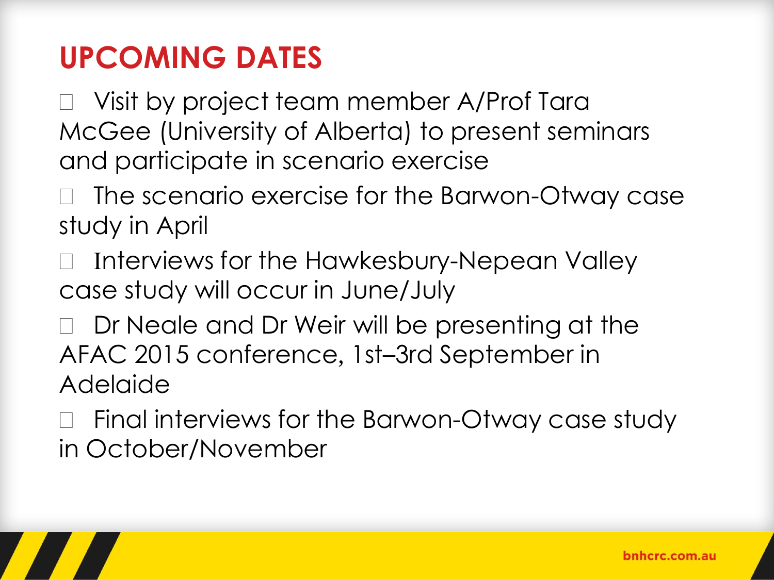## **UPCOMING DATES**

□ Visit by project team member A/Prof Tara McGee (University of Alberta) to present seminars and participate in scenario exercise

 The scenario exercise for the Barwon-Otway case study in April

- Interviews for the Hawkesbury-Nepean Valley case study will occur in June/July
- D Dr Neale and Dr Weir will be presenting at the AFAC 2015 conference, 1st–3rd September in Adelaide
- □ Final interviews for the Barwon-Otway case study in October/November